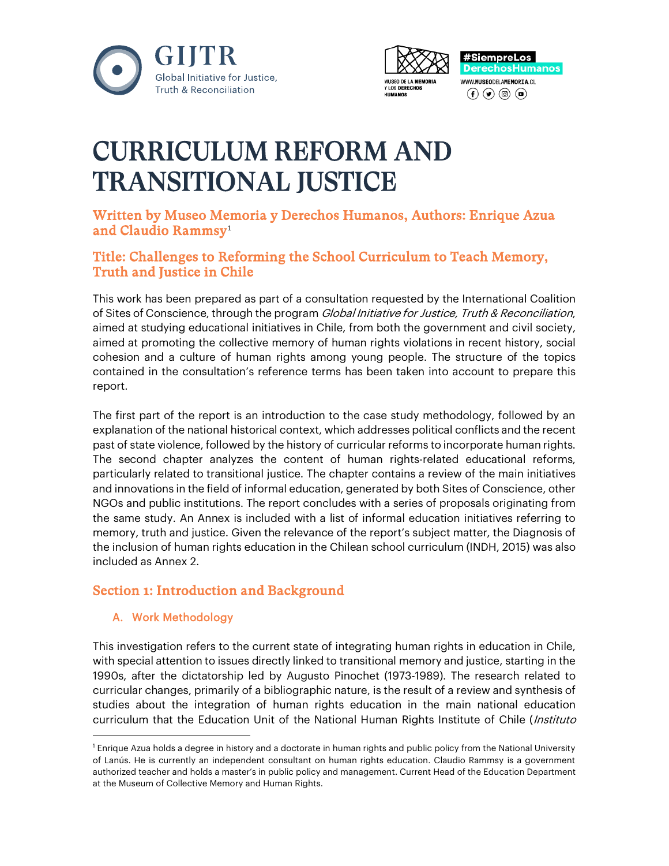



#SiempreLos **DerechosHumanos** WWW.MUSEODELAMEMORIA.CL  $(f)$   $(g)$   $\circledcirc$   $(g)$ 

# CURRICULUM REFORM AND TRANSITIONAL JUSTICE

Written by Museo Memoria y Derechos Humanos, Authors: Enrique Azua and Claudio Rammsy<sup>[1](#page-0-0)</sup>

# Title: Challenges to Reforming the School Curriculum to Teach Memory, Truth and Justice in Chile

This work has been prepared as part of a consultation requested by the International Coalition of Sites of Conscience, through the program *Global Initiative for Justice, Truth & Reconciliation*, aimed at studying educational initiatives in Chile, from both the government and civil society, aimed at promoting the collective memory of human rights violations in recent history, social cohesion and a culture of human rights among young people. The structure of the topics contained in the consultation's reference terms has been taken into account to prepare this report.

The first part of the report is an introduction to the case study methodology, followed by an explanation of the national historical context, which addresses political conflicts and the recent past of state violence, followed by the history of curricular reforms to incorporate human rights. The second chapter analyzes the content of human rights-related educational reforms, particularly related to transitional justice. The chapter contains a review of the main initiatives and innovations in the field of informal education, generated by both Sites of Conscience, other NGOs and public institutions. The report concludes with a series of proposals originating from the same study. An Annex is included with a list of informal education initiatives referring to memory, truth and justice. Given the relevance of the report's subject matter, the Diagnosis of the inclusion of human rights education in the Chilean school curriculum (INDH, 2015) was also included as Annex 2.

# Section 1: Introduction and Background

# A. Work Methodology

This investigation refers to the current state of integrating human rights in education in Chile, with special attention to issues directly linked to transitional memory and justice, starting in the 1990s, after the dictatorship led by Augusto Pinochet (1973-1989). The research related to curricular changes, primarily of a bibliographic nature, is the result of a review and synthesis of studies about the integration of human rights education in the main national education curriculum that the Education Unit of the National Human Rights Institute of Chile (*Instituto* 

<span id="page-0-0"></span><sup>&</sup>lt;sup>1</sup> Enrique Azua holds a degree in history and a doctorate in human rights and public policy from the National University of Lanús. He is currently an independent consultant on human rights education. Claudio Rammsy is a government authorized teacher and holds a master's in public policy and management. Current Head of the Education Department at the Museum of Collective Memory and Human Rights.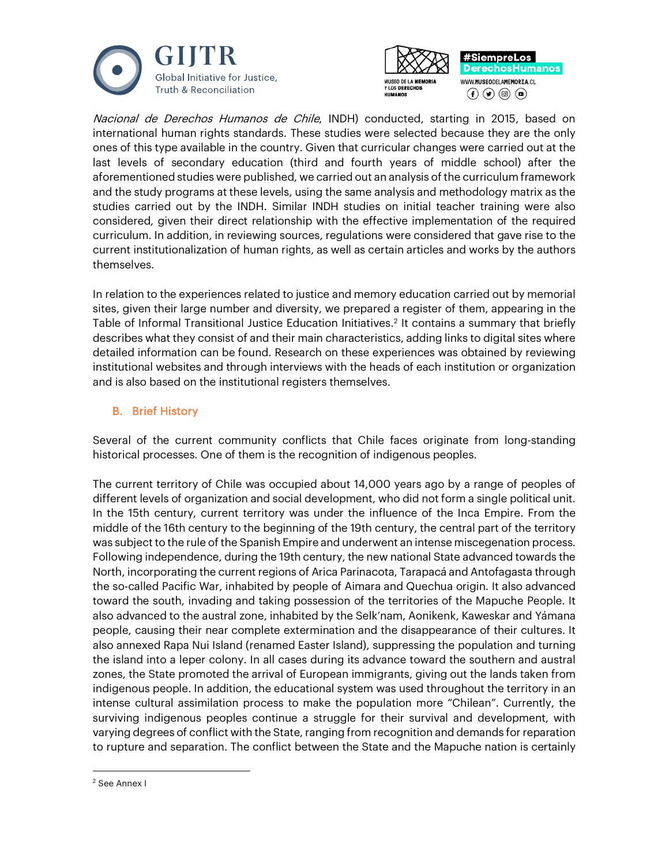



Nacional de Derechos Humanos de Chile, INDH) conducted, starting in 2015, based on international human rights standards. These studies were selected because they are the only ones of this type available in the country. Given that curricular changes were carried out at the last levels of secondary education (third and fourth years of middle school) after the aforementioned studies were published, we carried out an analysis of the curriculum framework and the study programs at these levels, using the same analysis and methodology matrix as the studies carried out by the INDH. Similar INDH studies on initial teacher training were also considered, given their direct relationship with the effective implementation of the required curriculum. In addition, in reviewing sources, regulations were considered that gave rise to the current institutionalization of human rights, as well as certain articles and works by the authors themselves.

In relation to the experiences related to justice and memory education carried out by memorial sites, given their large number and diversity, we prepared a register of them, appearing in the Table of Informal Transitional Justice Education Initiatives.[2](#page-1-0) It contains a summary that briefly describes what they consist of and their main characteristics, adding links to digital sites where detailed information can be found. Research on these experiences was obtained by reviewing institutional websites and through interviews with the heads of each institution or organization and is also based on the institutional registers themselves.

## B. Brief History

Several of the current community conflicts that Chile faces originate from long-standing historical processes. One of them is the recognition of indigenous peoples.

The current territory of Chile was occupied about 14,000 years ago by a range of peoples of different levels of organization and social development, who did not form a single political unit. In the 15th century, current territory was under the influence of the Inca Empire. From the middle of the 16th century to the beginning of the 19th century, the central part of the territory was subject to the rule of the Spanish Empire and underwent an intense miscegenation process. Following independence, during the 19th century, the new national State advanced towards the North, incorporating the current regions of Arica Parinacota, Tarapacá and Antofagasta through the so-called Pacific War, inhabited by people of Aimara and Quechua origin. It also advanced toward the south, invading and taking possession of the territories of the Mapuche People. It also advanced to the austral zone, inhabited by the Selk'nam, Aonikenk, Kaweskar and Yámana people, causing their near complete extermination and the disappearance of their cultures. It also annexed Rapa Nui Island (renamed Easter Island), suppressing the population and turning the island into a leper colony. In all cases during its advance toward the southern and austral zones, the State promoted the arrival of European immigrants, giving out the lands taken from indigenous people. In addition, the educational system was used throughout the territory in an intense cultural assimilation process to make the population more "Chilean". Currently, the surviving indigenous peoples continue a struggle for their survival and development, with varying degrees of conflict with the State, ranging from recognition and demands for reparation to rupture and separation. The conflict between the State and the Mapuche nation is certainly

<span id="page-1-0"></span><sup>2</sup> See Annex I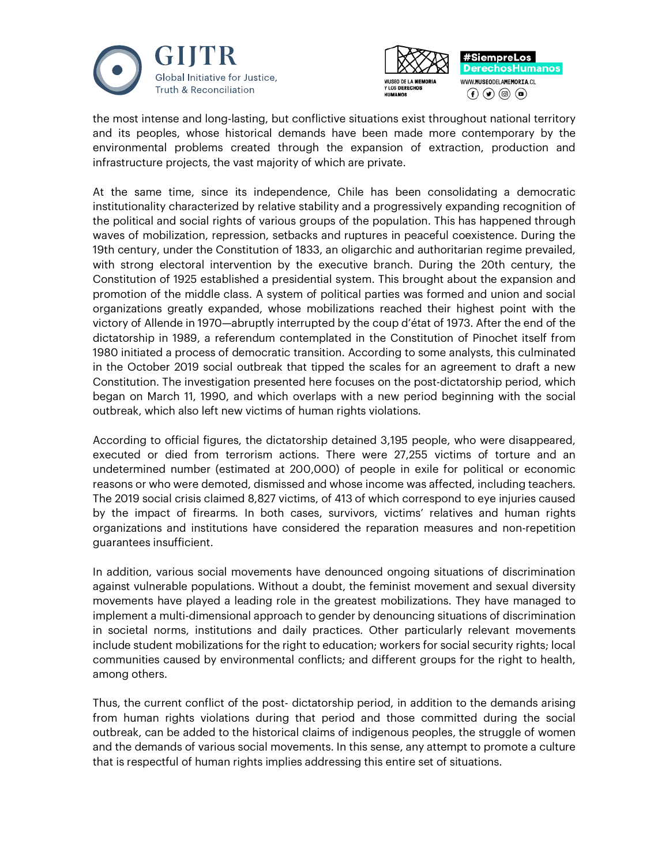



the most intense and long-lasting, but conflictive situations exist throughout national territory and its peoples, whose historical demands have been made more contemporary by the environmental problems created through the expansion of extraction, production and infrastructure projects, the vast majority of which are private.

At the same time, since its independence, Chile has been consolidating a democratic institutionality characterized by relative stability and a progressively expanding recognition of the political and social rights of various groups of the population. This has happened through waves of mobilization, repression, setbacks and ruptures in peaceful coexistence. During the 19th century, under the Constitution of 1833, an oligarchic and authoritarian regime prevailed, with strong electoral intervention by the executive branch. During the 20th century, the Constitution of 1925 established a presidential system. This brought about the expansion and promotion of the middle class. A system of political parties was formed and union and social organizations greatly expanded, whose mobilizations reached their highest point with the victory of Allende in 1970—abruptly interrupted by the coup d'état of 1973. After the end of the dictatorship in 1989, a referendum contemplated in the Constitution of Pinochet itself from 1980 initiated a process of democratic transition. According to some analysts, this culminated in the October 2019 social outbreak that tipped the scales for an agreement to draft a new Constitution. The investigation presented here focuses on the post-dictatorship period, which began on March 11, 1990, and which overlaps with a new period beginning with the social outbreak, which also left new victims of human rights violations.

According to official figures, the dictatorship detained 3,195 people, who were disappeared, executed or died from terrorism actions. There were 27,255 victims of torture and an undetermined number (estimated at 200,000) of people in exile for political or economic reasons or who were demoted, dismissed and whose income was affected, including teachers. The 2019 social crisis claimed 8,827 victims, of 413 of which correspond to eye injuries caused by the impact of firearms. In both cases, survivors, victims' relatives and human rights organizations and institutions have considered the reparation measures and non-repetition guarantees insufficient.

In addition, various social movements have denounced ongoing situations of discrimination against vulnerable populations. Without a doubt, the feminist movement and sexual diversity movements have played a leading role in the greatest mobilizations. They have managed to implement a multi-dimensional approach to gender by denouncing situations of discrimination in societal norms, institutions and daily practices. Other particularly relevant movements include student mobilizations for the right to education; workers for social security rights; local communities caused by environmental conflicts; and different groups for the right to health, among others.

Thus, the current conflict of the post- dictatorship period, in addition to the demands arising from human rights violations during that period and those committed during the social outbreak, can be added to the historical claims of indigenous peoples, the struggle of women and the demands of various social movements. In this sense, any attempt to promote a culture that is respectful of human rights implies addressing this entire set of situations.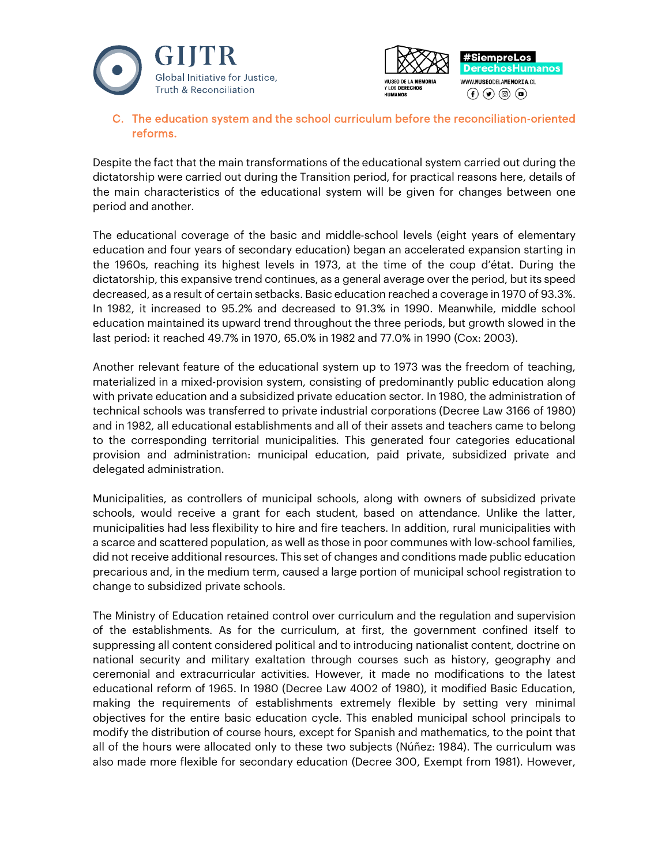



## C. The education system and the school curriculum before the reconciliation-oriented reforms.

Despite the fact that the main transformations of the educational system carried out during the dictatorship were carried out during the Transition period, for practical reasons here, details of the main characteristics of the educational system will be given for changes between one period and another.

The educational coverage of the basic and middle-school levels (eight years of elementary education and four years of secondary education) began an accelerated expansion starting in the 1960s, reaching its highest levels in 1973, at the time of the coup d'état. During the dictatorship, this expansive trend continues, as a general average over the period, but its speed decreased, as a result of certain setbacks. Basic education reached a coverage in 1970 of 93.3%. In 1982, it increased to 95.2% and decreased to 91.3% in 1990. Meanwhile, middle school education maintained its upward trend throughout the three periods, but growth slowed in the last period: it reached 49.7% in 1970, 65.0% in 1982 and 77.0% in 1990 (Cox: 2003).

Another relevant feature of the educational system up to 1973 was the freedom of teaching, materialized in a mixed-provision system, consisting of predominantly public education along with private education and a subsidized private education sector. In 1980, the administration of technical schools was transferred to private industrial corporations (Decree Law 3166 of 1980) and in 1982, all educational establishments and all of their assets and teachers came to belong to the corresponding territorial municipalities. This generated four categories educational provision and administration: municipal education, paid private, subsidized private and delegated administration.

Municipalities, as controllers of municipal schools, along with owners of subsidized private schools, would receive a grant for each student, based on attendance. Unlike the latter, municipalities had less flexibility to hire and fire teachers. In addition, rural municipalities with a scarce and scattered population, as well as those in poor communes with low-school families, did not receive additional resources. This set of changes and conditions made public education precarious and, in the medium term, caused a large portion of municipal school registration to change to subsidized private schools.

The Ministry of Education retained control over curriculum and the regulation and supervision of the establishments. As for the curriculum, at first, the government confined itself to suppressing all content considered political and to introducing nationalist content, doctrine on national security and military exaltation through courses such as history, geography and ceremonial and extracurricular activities. However, it made no modifications to the latest educational reform of 1965. In 1980 (Decree Law 4002 of 1980), it modified Basic Education, making the requirements of establishments extremely flexible by setting very minimal objectives for the entire basic education cycle. This enabled municipal school principals to modify the distribution of course hours, except for Spanish and mathematics, to the point that all of the hours were allocated only to these two subjects (Núñez: 1984). The curriculum was also made more flexible for secondary education (Decree 300, Exempt from 1981). However,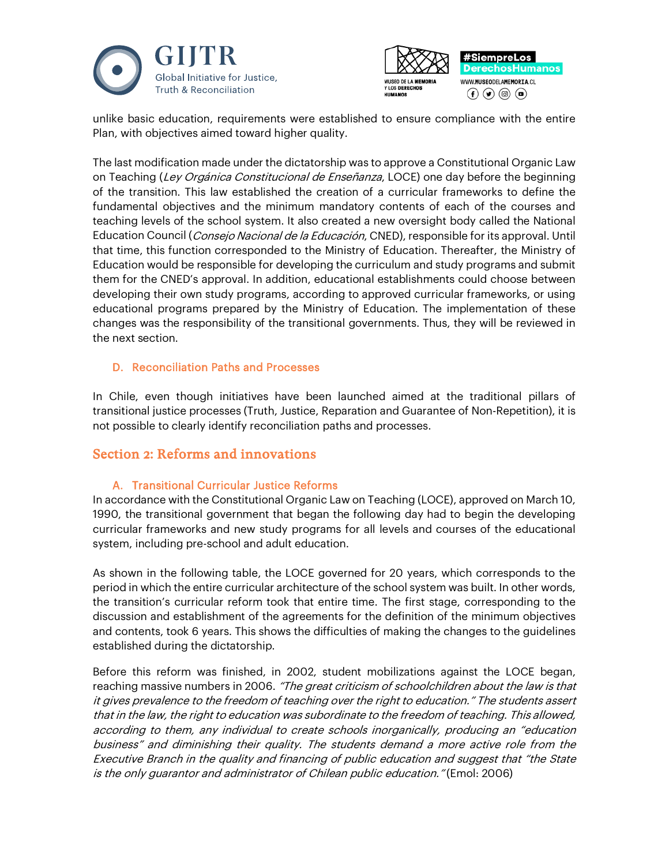



unlike basic education, requirements were established to ensure compliance with the entire Plan, with objectives aimed toward higher quality.

The last modification made under the dictatorship was to approve a Constitutional Organic Law on Teaching (Ley Orgánica Constitucional de Enseñanza, LOCE) one day before the beginning of the transition. This law established the creation of a curricular frameworks to define the fundamental objectives and the minimum mandatory contents of each of the courses and teaching levels of the school system. It also created a new oversight body called the National Education Council (Consejo Nacional de la Educación, CNED), responsible for its approval. Until that time, this function corresponded to the Ministry of Education. Thereafter, the Ministry of Education would be responsible for developing the curriculum and study programs and submit them for the CNED's approval. In addition, educational establishments could choose between developing their own study programs, according to approved curricular frameworks, or using educational programs prepared by the Ministry of Education. The implementation of these changes was the responsibility of the transitional governments. Thus, they will be reviewed in the next section.

## D. Reconciliation Paths and Processes

In Chile, even though initiatives have been launched aimed at the traditional pillars of transitional justice processes (Truth, Justice, Reparation and Guarantee of Non-Repetition), it is not possible to clearly identify reconciliation paths and processes.

# Section 2: Reforms and innovations

#### A. Transitional Curricular Justice Reforms

In accordance with the Constitutional Organic Law on Teaching (LOCE), approved on March 10, 1990, the transitional government that began the following day had to begin the developing curricular frameworks and new study programs for all levels and courses of the educational system, including pre-school and adult education.

As shown in the following table, the LOCE governed for 20 years, which corresponds to the period in which the entire curricular architecture of the school system was built. In other words, the transition's curricular reform took that entire time. The first stage, corresponding to the discussion and establishment of the agreements for the definition of the minimum objectives and contents, took 6 years. This shows the difficulties of making the changes to the guidelines established during the dictatorship.

Before this reform was finished, in 2002, student mobilizations against the LOCE began, reaching massive numbers in 2006. "The great criticism of schoolchildren about the law is that it gives prevalence to the freedom of teaching over the right to education." The students assert that in the law, the right to education was subordinate to the freedom of teaching. This allowed, according to them, any individual to create schools inorganically, producing an "education business" and diminishing their quality. The students demand a more active role from the Executive Branch in the quality and financing of public education and suggest that "the State is the only guarantor and administrator of Chilean public education." (Emol: 2006)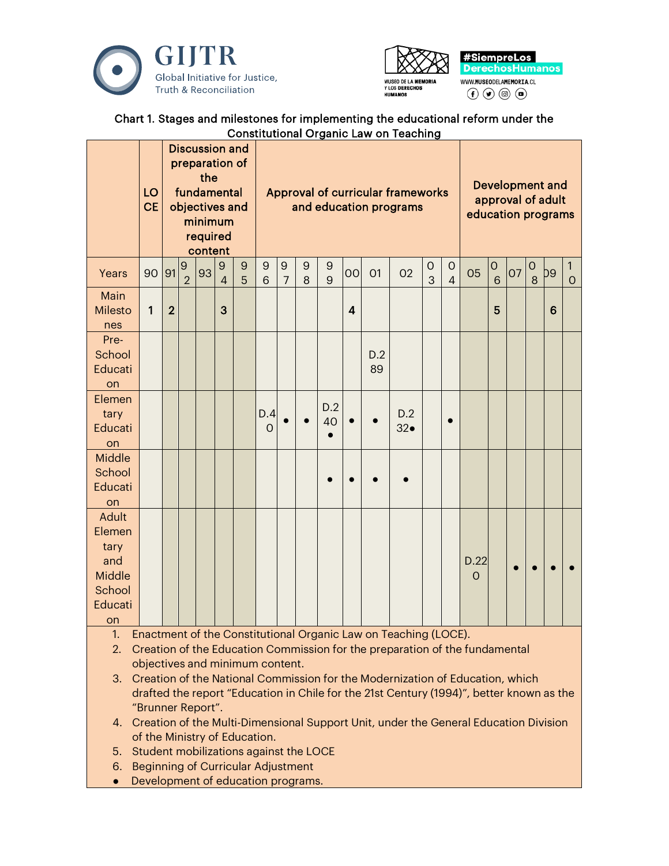



#SiempreLos **DerechosHumanos** WWW.MUSEODELAMEMORIA.CL

 $(f)$   $\odot$   $\odot$   $\odot$ 

#### Chart 1. Stages and milestones for implementing the educational reform under the Constitutional Organic Law on Teaching

|                                                                                   | <b>LO</b><br><b>CE</b> | <b>Discussion and</b><br>preparation of<br>the<br>fundamental<br>objectives and<br>minimum<br>required<br>content |                      |    |                         |        | <b>Approval of curricular frameworks</b><br>and education programs |                              |                       |                        |                         |           |                    |                     |                               | <b>Development and</b><br>approval of adult<br>education programs |                  |    |                   |    |                  |
|-----------------------------------------------------------------------------------|------------------------|-------------------------------------------------------------------------------------------------------------------|----------------------|----|-------------------------|--------|--------------------------------------------------------------------|------------------------------|-----------------------|------------------------|-------------------------|-----------|--------------------|---------------------|-------------------------------|-------------------------------------------------------------------|------------------|----|-------------------|----|------------------|
| Years                                                                             | 90                     | 91                                                                                                                | 9 <br>$\overline{2}$ | 93 | $9\,$<br>$\overline{4}$ | 9<br>5 | $\mathsf 9$<br>6                                                   | $\hbox{9}$<br>$\overline{7}$ | $\boldsymbol{9}$<br>8 | $\boldsymbol{9}$<br>9  | 00                      | 01        | 02                 | 0<br>$\overline{3}$ | $\mathsf O$<br>$\overline{4}$ | 05                                                                | $\mathbf 0$<br>6 | 07 | $\mathbf{O}$<br>8 | þ9 | 1<br>$\mathsf O$ |
| Main<br><b>Milesto</b><br>nes                                                     | 1                      | $\overline{2}$                                                                                                    |                      |    | 3                       |        |                                                                    |                              |                       |                        | $\overline{\mathbf{4}}$ |           |                    |                     |                               |                                                                   | 5                |    |                   | 6  |                  |
| Pre-<br>School<br>Educati<br>on                                                   |                        |                                                                                                                   |                      |    |                         |        |                                                                    |                              |                       |                        |                         | D.2<br>89 |                    |                     |                               |                                                                   |                  |    |                   |    |                  |
| Elemen<br>tary<br>Educati<br>on                                                   |                        |                                                                                                                   |                      |    |                         |        | D.4<br>$\Omega$                                                    |                              |                       | D.2<br>40<br>$\bullet$ | $\bullet$               |           | D.2<br>$32\bullet$ |                     |                               |                                                                   |                  |    |                   |    |                  |
| <b>Middle</b><br>School<br>Educati<br>on                                          |                        |                                                                                                                   |                      |    |                         |        |                                                                    |                              |                       |                        |                         |           |                    |                     |                               |                                                                   |                  |    |                   |    |                  |
| <b>Adult</b><br>Elemen<br>tary<br>and<br><b>Middle</b><br>School<br>Educati<br>on |                        |                                                                                                                   |                      |    |                         |        |                                                                    |                              |                       |                        |                         |           |                    |                     |                               | D.22<br>$\Omega$                                                  |                  |    |                   |    |                  |

1. Enactment of the Constitutional Organic Law on Teaching (LOCE).

2. Creation of the Education Commission for the preparation of the fundamental objectives and minimum content.

- 3. Creation of the National Commission for the Modernization of Education, which drafted the report "Education in Chile for the 21st Century (1994)", better known as the "Brunner Report".
- 4. Creation of the Multi-Dimensional Support Unit, under the General Education Division of the Ministry of Education.
- 5. Student mobilizations against the LOCE
- 6. Beginning of Curricular Adjustment
- Development of education programs.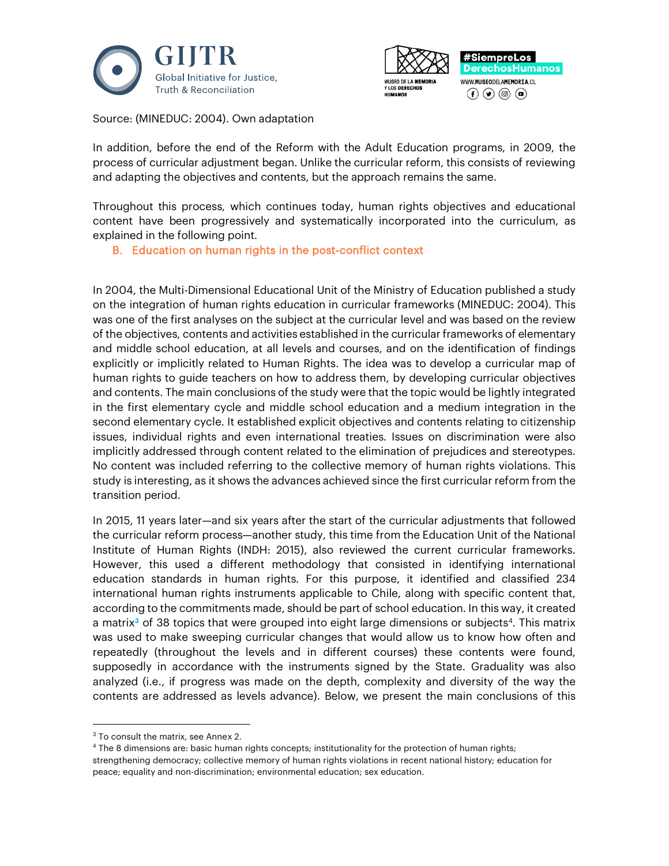



Source: (MINEDUC: 2004). Own adaptation

In addition, before the end of the Reform with the Adult Education programs, in 2009, the process of curricular adjustment began. Unlike the curricular reform, this consists of reviewing and adapting the objectives and contents, but the approach remains the same.

Throughout this process, which continues today, human rights objectives and educational content have been progressively and systematically incorporated into the curriculum, as explained in the following point.

## B. Education on human rights in the post-conflict context

In 2004, the Multi-Dimensional Educational Unit of the Ministry of Education published a study on the integration of human rights education in curricular frameworks (MINEDUC: 2004). This was one of the first analyses on the subject at the curricular level and was based on the review of the objectives, contents and activities established in the curricular frameworks of elementary and middle school education, at all levels and courses, and on the identification of findings explicitly or implicitly related to Human Rights. The idea was to develop a curricular map of human rights to guide teachers on how to address them, by developing curricular objectives and contents. The main conclusions of the study were that the topic would be lightly integrated in the first elementary cycle and middle school education and a medium integration in the second elementary cycle. It established explicit objectives and contents relating to citizenship issues, individual rights and even international treaties. Issues on discrimination were also implicitly addressed through content related to the elimination of prejudices and stereotypes. No content was included referring to the collective memory of human rights violations. This study is interesting, as it shows the advances achieved since the first curricular reform from the transition period.

In 2015, 11 years later—and six years after the start of the curricular adjustments that followed the curricular reform process—another study, this time from the Education Unit of the National Institute of Human Rights (INDH: 2015), also reviewed the current curricular frameworks. However, this used a different methodology that consisted in identifying international education standards in human rights. For this purpose, it identified and classified 234 international human rights instruments applicable to Chile, along with specific content that, according to the commitments made, should be part of school education. In this way, it created a matrix<sup>[3](#page-6-0)</sup> of 38 topics that were grouped into eight large dimensions or subjects<sup>[4](#page-6-1)</sup>. This matrix was used to make sweeping curricular changes that would allow us to know how often and repeatedly (throughout the levels and in different courses) these contents were found, supposedly in accordance with the instruments signed by the State. Graduality was also analyzed (i.e., if progress was made on the depth, complexity and diversity of the way the contents are addressed as levels advance). Below, we present the main conclusions of this

<span id="page-6-0"></span><sup>3</sup> To consult the matrix, see Annex 2.

<span id="page-6-1"></span><sup>4</sup> The 8 dimensions are: basic human rights concepts; institutionality for the protection of human rights; strengthening democracy; collective memory of human rights violations in recent national history; education for peace; equality and non-discrimination; environmental education; sex education.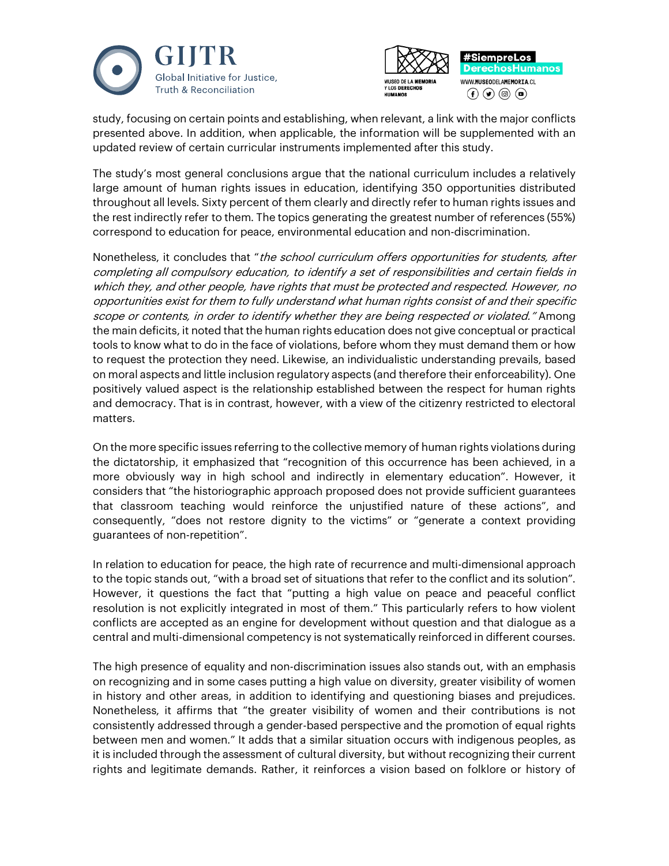



study, focusing on certain points and establishing, when relevant, a link with the major conflicts presented above. In addition, when applicable, the information will be supplemented with an updated review of certain curricular instruments implemented after this study.

The study's most general conclusions argue that the national curriculum includes a relatively large amount of human rights issues in education, identifying 350 opportunities distributed throughout all levels. Sixty percent of them clearly and directly refer to human rights issues and the rest indirectly refer to them. The topics generating the greatest number of references (55%) correspond to education for peace, environmental education and non-discrimination.

Nonetheless, it concludes that "the school curriculum offers opportunities for students, after completing all compulsory education, to identify a set of responsibilities and certain fields in which they, and other people, have rights that must be protected and respected. However, no opportunities exist for them to fully understand what human rights consist of and their specific scope or contents, in order to identify whether they are being respected or violated." Among the main deficits, it noted that the human rights education does not give conceptual or practical tools to know what to do in the face of violations, before whom they must demand them or how to request the protection they need. Likewise, an individualistic understanding prevails, based on moral aspects and little inclusion regulatory aspects (and therefore their enforceability). One positively valued aspect is the relationship established between the respect for human rights and democracy. That is in contrast, however, with a view of the citizenry restricted to electoral matters.

On the more specific issues referring to the collective memory of human rights violations during the dictatorship, it emphasized that "recognition of this occurrence has been achieved, in a more obviously way in high school and indirectly in elementary education". However, it considers that "the historiographic approach proposed does not provide sufficient guarantees that classroom teaching would reinforce the unjustified nature of these actions", and consequently, "does not restore dignity to the victims" or "generate a context providing guarantees of non-repetition".

In relation to education for peace, the high rate of recurrence and multi-dimensional approach to the topic stands out, "with a broad set of situations that refer to the conflict and its solution". However, it questions the fact that "putting a high value on peace and peaceful conflict resolution is not explicitly integrated in most of them." This particularly refers to how violent conflicts are accepted as an engine for development without question and that dialogue as a central and multi-dimensional competency is not systematically reinforced in different courses.

The high presence of equality and non-discrimination issues also stands out, with an emphasis on recognizing and in some cases putting a high value on diversity, greater visibility of women in history and other areas, in addition to identifying and questioning biases and prejudices. Nonetheless, it affirms that "the greater visibility of women and their contributions is not consistently addressed through a gender-based perspective and the promotion of equal rights between men and women." It adds that a similar situation occurs with indigenous peoples, as it is included through the assessment of cultural diversity, but without recognizing their current rights and legitimate demands. Rather, it reinforces a vision based on folklore or history of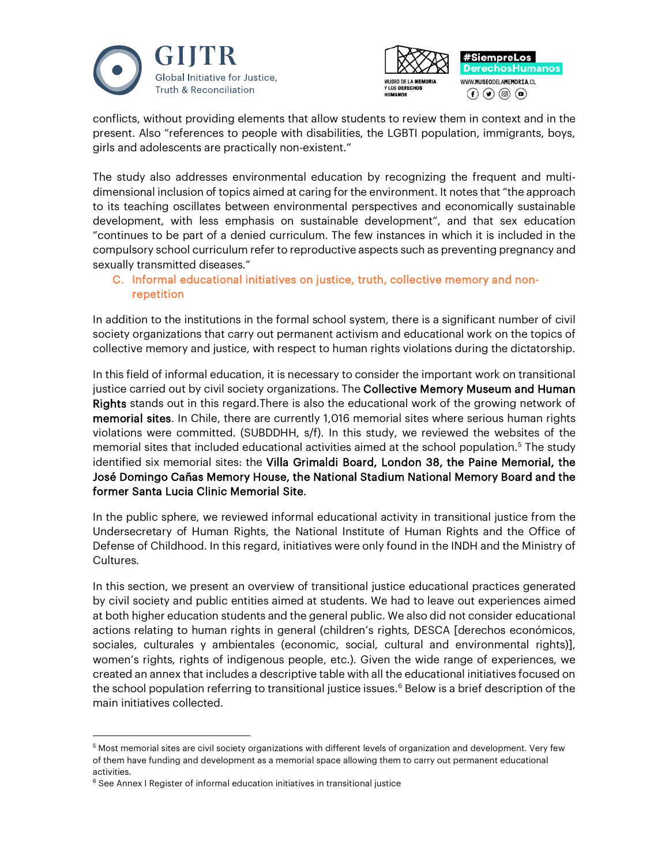



conflicts, without providing elements that allow students to review them in context and in the present. Also "references to people with disabilities, the LGBTI population, immigrants, boys, girls and adolescents are practically non-existent."

The study also addresses environmental education by recognizing the frequent and multidimensional inclusion of topics aimed at caring for the environment. It notes that "the approach to its teaching oscillates between environmental perspectives and economically sustainable development, with less emphasis on sustainable development", and that sex education "continues to be part of a denied curriculum. The few instances in which it is included in the compulsory school curriculum refer to reproductive aspects such as preventing pregnancy and sexually transmitted diseases."

C. Informal educational initiatives on justice, truth, collective memory and nonrepetition

In addition to the institutions in the formal school system, there is a significant number of civil society organizations that carry out permanent activism and educational work on the topics of collective memory and justice, with respect to human rights violations during the dictatorship.

In this field of informal education, it is necessary to consider the important work on transitional justice carried out by civil society organizations. The Collective Memory Museum and Human Rights stands out in this regard.There is also the educational work of the growing network of memorial sites. In Chile, there are currently 1,016 memorial sites where serious human rights violations were committed. (SUBDDHH, s/f). In this study, we reviewed the websites of the memorial sites that included educational activities aimed at the school population.[5](#page-8-0) The study identified six memorial sites: the Villa Grimaldi Board, London 38, the Paine Memorial, the José Domingo Cañas Memory House, the National Stadium National Memory Board and the former Santa Lucia Clinic Memorial Site.

In the public sphere, we reviewed informal educational activity in transitional justice from the Undersecretary of Human Rights, the National Institute of Human Rights and the Office of Defense of Childhood. In this regard, initiatives were only found in the INDH and the Ministry of Cultures.

In this section, we present an overview of transitional justice educational practices generated by civil society and public entities aimed at students. We had to leave out experiences aimed at both higher education students and the general public. We also did not consider educational actions relating to human rights in general (children's rights, DESCA [derechos económicos, sociales, culturales y ambientales (economic, social, cultural and environmental rights)], women's rights, rights of indigenous people, etc.). Given the wide range of experiences, we created an annex that includes a descriptive table with all the educational initiatives focused on the school population referring to transitional justice issues.<sup>[6](#page-8-1)</sup> Below is a brief description of the main initiatives collected.

<span id="page-8-0"></span><sup>5</sup> Most memorial sites are civil society organizations with different levels of organization and development. Very few of them have funding and development as a memorial space allowing them to carry out permanent educational activities.

<span id="page-8-1"></span><sup>&</sup>lt;sup>6</sup> See Annex I Register of informal education initiatives in transitional justice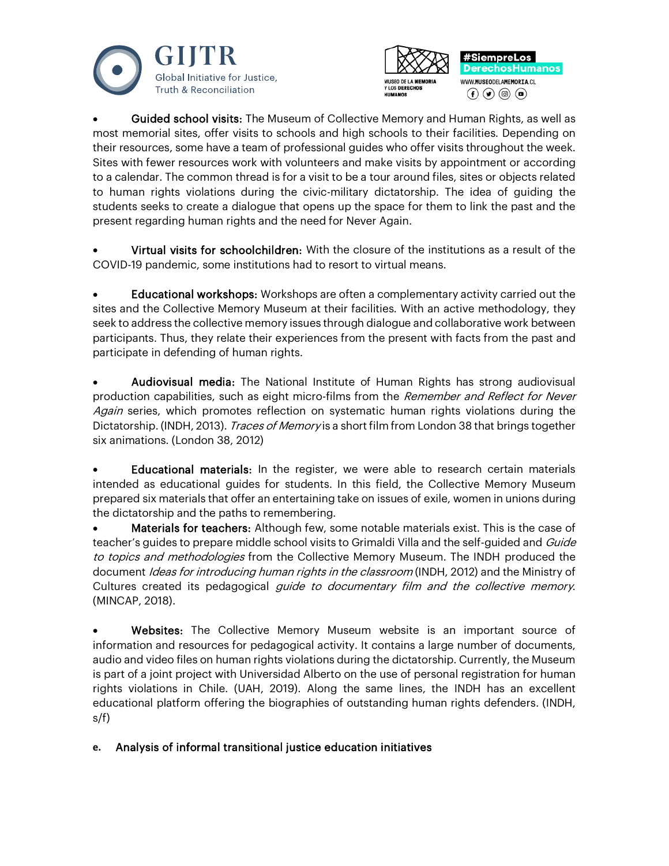



Guided school visits: The Museum of Collective Memory and Human Rights, as well as most memorial sites, offer visits to schools and high schools to their facilities. Depending on their resources, some have a team of professional guides who offer visits throughout the week. Sites with fewer resources work with volunteers and make visits by appointment or according to a calendar. The common thread is for a visit to be a tour around files, sites or objects related to human rights violations during the civic-military dictatorship. The idea of guiding the students seeks to create a dialogue that opens up the space for them to link the past and the present regarding human rights and the need for Never Again.

• Virtual visits for schoolchildren: With the closure of the institutions as a result of the COVID-19 pandemic, some institutions had to resort to virtual means.

**Educational workshops:** Workshops are often a complementary activity carried out the sites and the Collective Memory Museum at their facilities. With an active methodology, they seek to address the collective memory issues through dialogue and collaborative work between participants. Thus, they relate their experiences from the present with facts from the past and participate in defending of human rights.

• Audiovisual media: The National Institute of Human Rights has strong audiovisual production capabilities, such as eight micro-films from the Remember and Reflect for Never Again series, which promotes reflection on systematic human rights violations during the Dictatorship. (INDH, 2013). Traces of Memory is a short film from London 38 that brings together six animations. (London 38, 2012)

• Educational materials: In the register, we were able to research certain materials intended as educational guides for students. In this field, the Collective Memory Museum prepared six materials that offer an entertaining take on issues of exile, women in unions during the dictatorship and the paths to remembering.

Materials for teachers: Although few, some notable materials exist. This is the case of teacher's guides to prepare middle school visits to Grimaldi Villa and the self-guided and Guide to topics and methodologies from the Collective Memory Museum. The INDH produced the document Ideas for introducing human rights in the classroom (INDH, 2012) and the Ministry of Cultures created its pedagogical *guide to documentary film and the collective memory*. (MINCAP, 2018).

• Websites: The Collective Memory Museum website is an important source of information and resources for pedagogical activity. It contains a large number of documents, audio and video files on human rights violations during the dictatorship. Currently, the Museum is part of a joint project with Universidad Alberto on the use of personal registration for human rights violations in Chile. (UAH, 2019). Along the same lines, the INDH has an excellent educational platform offering the biographies of outstanding human rights defenders. (INDH, s/f)

# **e.** Analysis of informal transitional justice education initiatives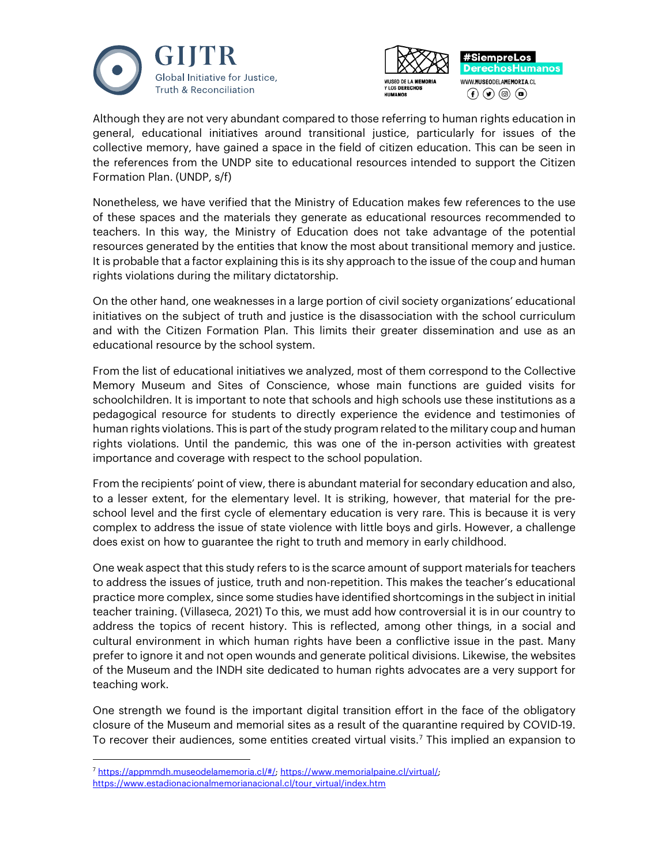



Although they are not very abundant compared to those referring to human rights education in general, educational initiatives around transitional justice, particularly for issues of the collective memory, have gained a space in the field of citizen education. This can be seen in the references from the UNDP site to educational resources intended to support the Citizen Formation Plan. (UNDP, s/f)

Nonetheless, we have verified that the Ministry of Education makes few references to the use of these spaces and the materials they generate as educational resources recommended to teachers. In this way, the Ministry of Education does not take advantage of the potential resources generated by the entities that know the most about transitional memory and justice. It is probable that a factor explaining this is its shy approach to the issue of the coup and human rights violations during the military dictatorship.

On the other hand, one weaknesses in a large portion of civil society organizations' educational initiatives on the subject of truth and justice is the disassociation with the school curriculum and with the Citizen Formation Plan. This limits their greater dissemination and use as an educational resource by the school system.

From the list of educational initiatives we analyzed, most of them correspond to the Collective Memory Museum and Sites of Conscience, whose main functions are guided visits for schoolchildren. It is important to note that schools and high schools use these institutions as a pedagogical resource for students to directly experience the evidence and testimonies of human rights violations. This is part of the study program related to the military coup and human rights violations. Until the pandemic, this was one of the in-person activities with greatest importance and coverage with respect to the school population.

From the recipients' point of view, there is abundant material for secondary education and also, to a lesser extent, for the elementary level. It is striking, however, that material for the preschool level and the first cycle of elementary education is very rare. This is because it is very complex to address the issue of state violence with little boys and girls. However, a challenge does exist on how to guarantee the right to truth and memory in early childhood.

One weak aspect that this study refers to is the scarce amount of support materials for teachers to address the issues of justice, truth and non-repetition. This makes the teacher's educational practice more complex, since some studies have identified shortcomings in the subject in initial teacher training. (Villaseca, 2021) To this, we must add how controversial it is in our country to address the topics of recent history. This is reflected, among other things, in a social and cultural environment in which human rights have been a conflictive issue in the past. Many prefer to ignore it and not open wounds and generate political divisions. Likewise, the websites of the Museum and the INDH site dedicated to human rights advocates are a very support for teaching work.

One strength we found is the important digital transition effort in the face of the obligatory closure of the Museum and memorial sites as a result of the quarantine required by COVID-19. To recover their audiences, some entities created virtual visits.<sup>[7](#page-10-0)</sup> This implied an expansion to

<span id="page-10-0"></span><sup>7</sup> [https://appmmdh.museodelamemoria.cl/#/;](https://appmmdh.museodelamemoria.cl/#/) [https://www.memorialpaine.cl/virtual/;](https://www.memorialpaine.cl/virtual/) [https://www.estadionacionalmemorianacional.cl/tour\\_virtual/index.htm](https://www.estadionacionalmemorianacional.cl/tour_virtual/index.htm)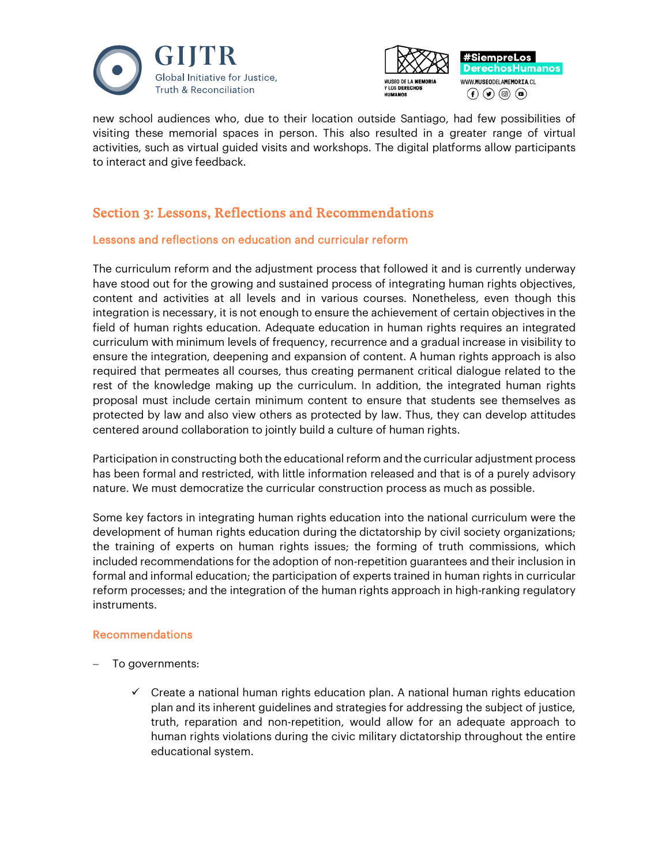



new school audiences who, due to their location outside Santiago, had few possibilities of visiting these memorial spaces in person. This also resulted in a greater range of virtual activities, such as virtual guided visits and workshops. The digital platforms allow participants to interact and give feedback.

# Section 3: Lessons, Reflections and Recommendations

#### Lessons and reflections on education and curricular reform

The curriculum reform and the adjustment process that followed it and is currently underway have stood out for the growing and sustained process of integrating human rights objectives, content and activities at all levels and in various courses. Nonetheless, even though this integration is necessary, it is not enough to ensure the achievement of certain objectives in the field of human rights education. Adequate education in human rights requires an integrated curriculum with minimum levels of frequency, recurrence and a gradual increase in visibility to ensure the integration, deepening and expansion of content. A human rights approach is also required that permeates all courses, thus creating permanent critical dialogue related to the rest of the knowledge making up the curriculum. In addition, the integrated human rights proposal must include certain minimum content to ensure that students see themselves as protected by law and also view others as protected by law. Thus, they can develop attitudes centered around collaboration to jointly build a culture of human rights.

Participation in constructing both the educational reform and the curricular adjustment process has been formal and restricted, with little information released and that is of a purely advisory nature. We must democratize the curricular construction process as much as possible.

Some key factors in integrating human rights education into the national curriculum were the development of human rights education during the dictatorship by civil society organizations; the training of experts on human rights issues; the forming of truth commissions, which included recommendations for the adoption of non-repetition guarantees and their inclusion in formal and informal education; the participation of experts trained in human rights in curricular reform processes; and the integration of the human rights approach in high-ranking regulatory instruments.

#### Recommendations

- − To governments:
	- $\checkmark$  Create a national human rights education plan. A national human rights education plan and its inherent guidelines and strategies for addressing the subject of justice, truth, reparation and non-repetition, would allow for an adequate approach to human rights violations during the civic military dictatorship throughout the entire educational system.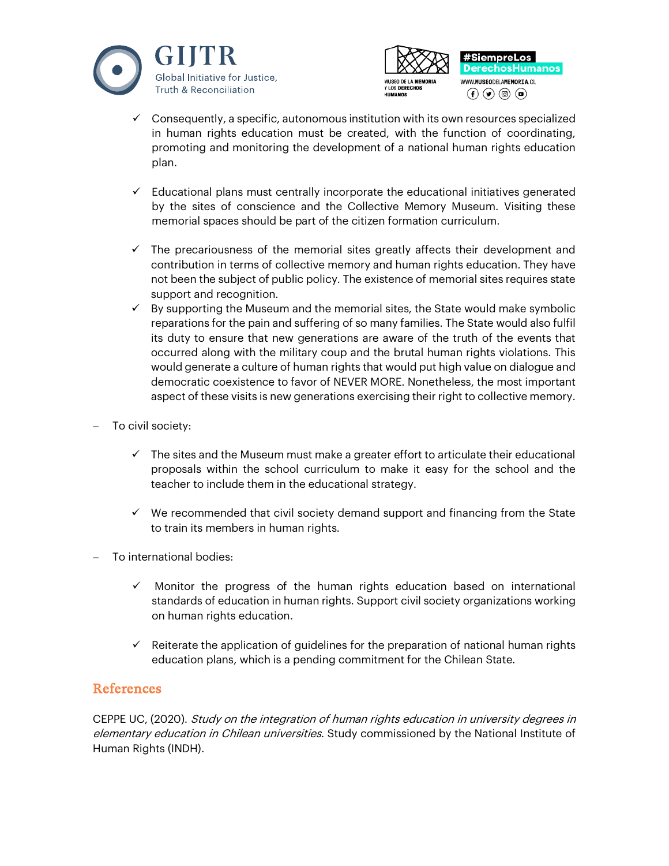



- $\checkmark$  Consequently, a specific, autonomous institution with its own resources specialized in human rights education must be created, with the function of coordinating, promoting and monitoring the development of a national human rights education plan.
- $\checkmark$  Educational plans must centrally incorporate the educational initiatives generated by the sites of conscience and the Collective Memory Museum. Visiting these memorial spaces should be part of the citizen formation curriculum.
- $\checkmark$  The precariousness of the memorial sites greatly affects their development and contribution in terms of collective memory and human rights education. They have not been the subject of public policy. The existence of memorial sites requires state support and recognition.
- $\checkmark$  By supporting the Museum and the memorial sites, the State would make symbolic reparations for the pain and suffering of so many families. The State would also fulfil its duty to ensure that new generations are aware of the truth of the events that occurred along with the military coup and the brutal human rights violations. This would generate a culture of human rights that would put high value on dialogue and democratic coexistence to favor of NEVER MORE. Nonetheless, the most important aspect of these visits is new generations exercising their right to collective memory.
- − To civil society:
	- $\checkmark$  The sites and the Museum must make a greater effort to articulate their educational proposals within the school curriculum to make it easy for the school and the teacher to include them in the educational strategy.
	- $\checkmark$  We recommended that civil society demand support and financing from the State to train its members in human rights.
- − To international bodies:
	- $\checkmark$  Monitor the progress of the human rights education based on international standards of education in human rights. Support civil society organizations working on human rights education.
	- $\checkmark$  Reiterate the application of quidelines for the preparation of national human rights education plans, which is a pending commitment for the Chilean State.

## References

CEPPE UC, (2020). Study on the integration of human rights education in university degrees in elementary education in Chilean universities. Study commissioned by the National Institute of Human Rights (INDH).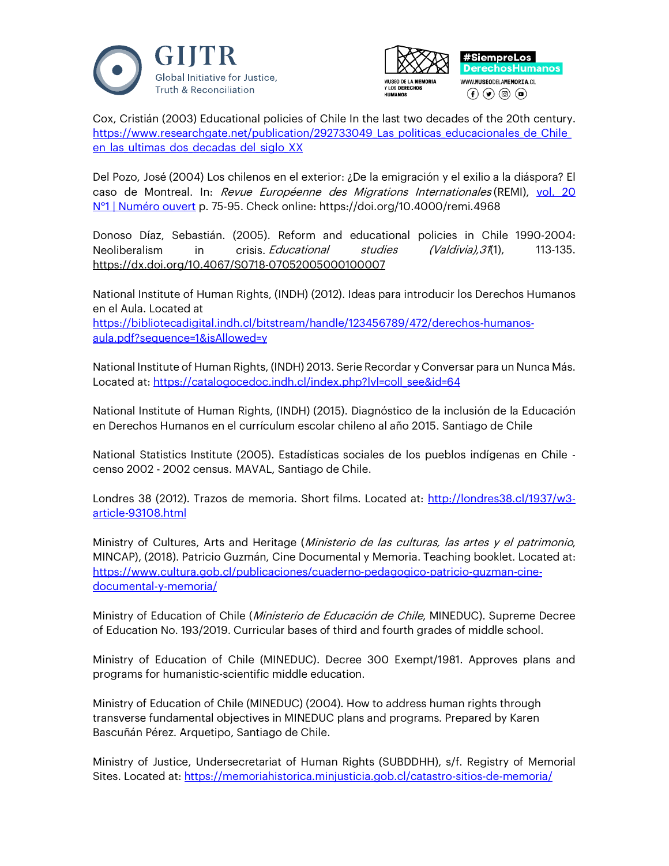



Cox, Cristián (2003) Educational policies of Chile In the last two decades of the 20th century. https://www.researchgate.net/publication/292733049 Las politicas educacionales de Chile [en\\_las\\_ultimas\\_dos\\_decadas\\_del\\_siglo\\_XX](https://www.researchgate.net/publication/292733049_Las_politicas_educacionales_de_Chile_en_las_ultimas_dos_decadas_del_siglo_XX)

Del Pozo, José (2004) Los chilenos en el exterior: ¿De la emigración y el exilio a la diáspora? El caso de Montreal. In: Revue Européenne des Migrations Internationales (REMI), vol. 20 N°1 | Numéro ouvert p. 75-95. Check online:<https://doi.org/10.4000/remi.4968>

Donoso Díaz, Sebastián. (2005). Reform and educational policies in Chile 1990-2004: Neoliberalism in crisis. *Educational studies (Valdivia), 31*(1), 113-135. <https://dx.doi.org/10.4067/S0718-07052005000100007>

National Institute of Human Rights, (INDH) (2012). Ideas para introducir los Derechos Humanos en el Aula. Located at [https://bibliotecadigital.indh.cl/bitstream/handle/123456789/472/derechos-humanos](https://bibliotecadigital.indh.cl/bitstream/handle/123456789/472/derechos-humanos-aula.pdf?sequence=1&isAllowed=y)[aula.pdf?sequence=1&isAllowed=y](https://bibliotecadigital.indh.cl/bitstream/handle/123456789/472/derechos-humanos-aula.pdf?sequence=1&isAllowed=y)

National Institute of Human Rights, (INDH) 2013. Serie Recordar y Conversar para un Nunca Más. Located at: [https://catalogocedoc.indh.cl/index.php?lvl=coll\\_see&id=64](https://catalogocedoc.indh.cl/index.php?lvl=coll_see&id=64)

National Institute of Human Rights, (INDH) (2015). Diagnóstico de la inclusión de la Educación en Derechos Humanos en el currículum escolar chileno al año 2015. Santiago de Chile

National Statistics Institute (2005). Estadísticas sociales de los pueblos indígenas en Chile censo 2002 - 2002 census. MAVAL, Santiago de Chile.

Londres 38 (2012). Trazos de memoria. Short films. Located at: [http://londres38.cl/1937/w3](http://londres38.cl/1937/w3-article-93108.html) [article-93108.html](http://londres38.cl/1937/w3-article-93108.html)

Ministry of Cultures, Arts and Heritage (Ministerio de las culturas, las artes y el patrimonio, MINCAP), (2018). Patricio Guzmán, Cine Documental y Memoria. Teaching booklet. Located at: [https://www.cultura.gob.cl/publicaciones/cuaderno-pedagogico-patricio-guzman-cine](https://www.cultura.gob.cl/publicaciones/cuaderno-pedagogico-patricio-guzman-cine-documental-y-memoria/)[documental-y-memoria/](https://www.cultura.gob.cl/publicaciones/cuaderno-pedagogico-patricio-guzman-cine-documental-y-memoria/)

Ministry of Education of Chile (*Ministerio de Educación de Chile*, MINEDUC). Supreme Decree of Education No. 193/2019. Curricular bases of third and fourth grades of middle school.

Ministry of Education of Chile (MINEDUC). Decree 300 Exempt/1981. Approves plans and programs for humanistic-scientific middle education.

Ministry of Education of Chile (MINEDUC) (2004). How to address human rights through transverse fundamental objectives in MINEDUC plans and programs. Prepared by Karen Bascuñán Pérez. Arquetipo, Santiago de Chile.

Ministry of Justice, Undersecretariat of Human Rights (SUBDDHH), s/f. Registry of Memorial Sites. Located at[: https://memoriahistorica.minjusticia.gob.cl/catastro-sitios-de-memoria/](https://memoriahistorica.minjusticia.gob.cl/catastro-sitios-de-memoria/)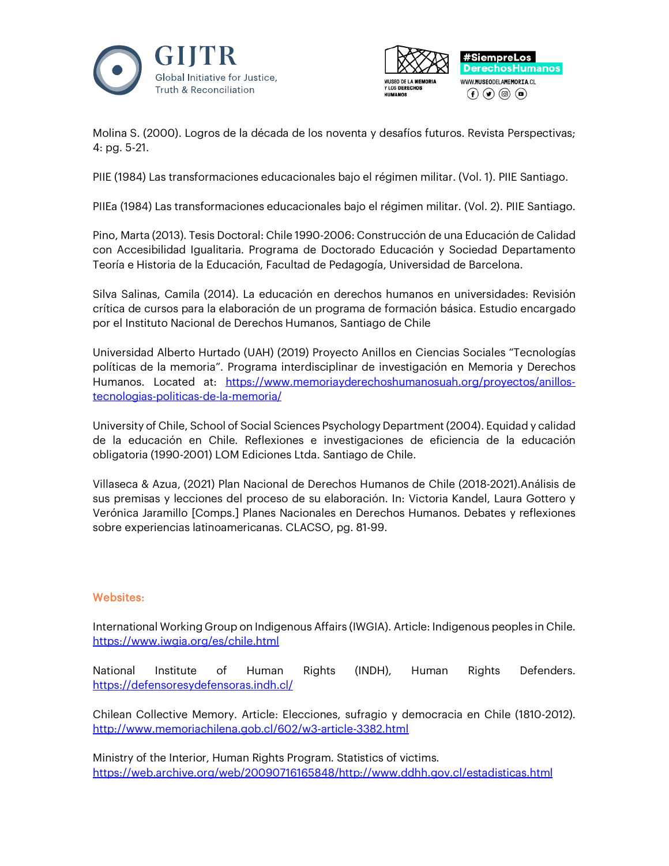



Molina S. (2000). Logros de la década de los noventa y desafíos futuros. Revista Perspectivas; 4: pg. 5-21.

PIIE (1984) Las transformaciones educacionales bajo el régimen militar. (Vol. 1). PIIE Santiago.

PIIEa (1984) Las transformaciones educacionales bajo el régimen militar. (Vol. 2). PIIE Santiago.

Pino, Marta (2013). Tesis Doctoral: Chile 1990-2006: Construcción de una Educación de Calidad con Accesibilidad Igualitaria. Programa de Doctorado Educación y Sociedad Departamento Teoría e Historia de la Educación, Facultad de Pedagogía, Universidad de Barcelona.

Silva Salinas, Camila (2014). La educación en derechos humanos en universidades: Revisión crítica de cursos para la elaboración de un programa de formación básica. Estudio encargado por el Instituto Nacional de Derechos Humanos, Santiago de Chile

Universidad Alberto Hurtado (UAH) (2019) Proyecto Anillos en Ciencias Sociales "Tecnologías políticas de la memoria". Programa interdisciplinar de investigación en Memoria y Derechos Humanos. Located at: [https://www.memoriayderechoshumanosuah.org/proyectos/anillos](https://www.memoriayderechoshumanosuah.org/proyectos/anillos-tecnologias-politicas-de-la-memoria/)[tecnologias-politicas-de-la-memoria/](https://www.memoriayderechoshumanosuah.org/proyectos/anillos-tecnologias-politicas-de-la-memoria/)

University of Chile, School of Social Sciences Psychology Department (2004). Equidad y calidad de la educación en Chile. Reflexiones e investigaciones de eficiencia de la educación obligatoria (1990-2001) LOM Ediciones Ltda. Santiago de Chile.

Villaseca & Azua, (2021) Plan Nacional de Derechos Humanos de Chile (2018-2021).Análisis de sus premisas y lecciones del proceso de su elaboración. In: Victoria Kandel, Laura Gottero y Verónica Jaramillo [Comps.] Planes Nacionales en Derechos Humanos. Debates y reflexiones sobre experiencias latinoamericanas. CLACSO, pg. 81-99.

#### Websites:

International Working Group on Indigenous Affairs (IWGIA). Article: Indigenous peoples in Chile. <https://www.iwgia.org/es/chile.html>

National Institute of Human Rights (INDH), Human Rights Defenders. <https://defensoresydefensoras.indh.cl/>

Chilean Collective Memory. Article: Elecciones, sufragio y democracia en Chile (1810-2012). <http://www.memoriachilena.gob.cl/602/w3-article-3382.html>

Ministry of the Interior, Human Rights Program. Statistics of victims. [https://web.archive.org/web/20090716165848/http://www.ddhh.gov.cl/estadisticas.html](https://web.archive.org/web/20090716165848/http:/www.ddhh.gov.cl/estadisticas.html)